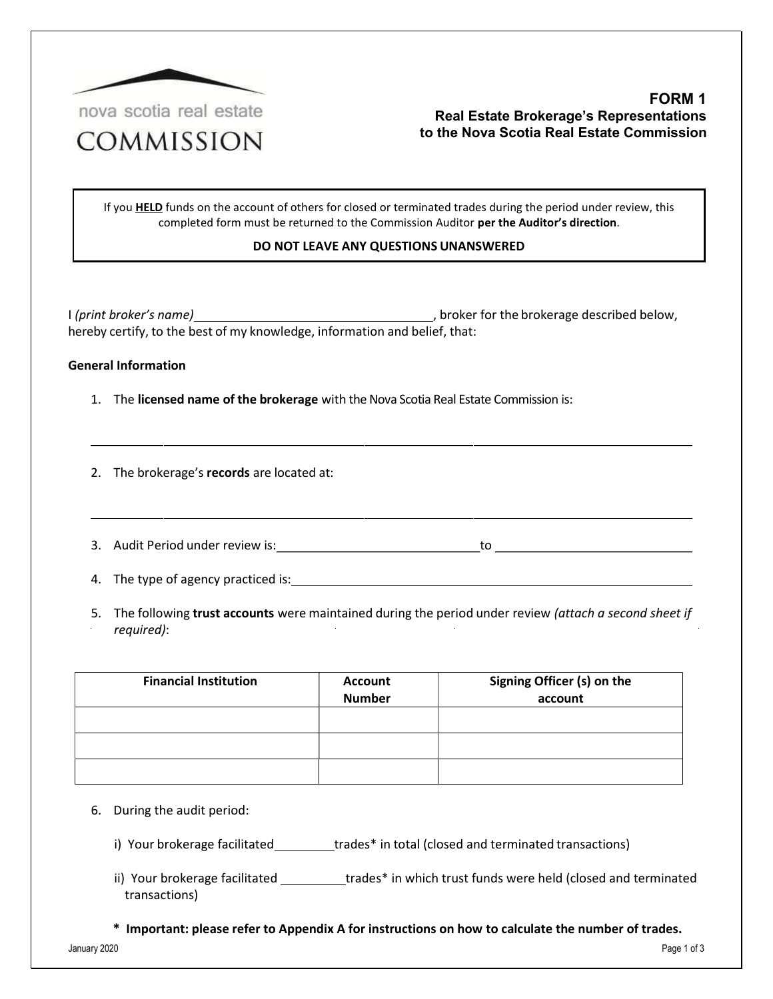

## FORM 1 Real Estate Brokerage's Representations to the Nova Scotia Real Estate Commission

If you **HELD** funds on the account of others for closed or terminated trades during the period under review, this completed form must be returned to the Commission Auditor per the Auditor's direction.

## DO NOT LEAVE ANY QUESTIONS UNANSWERED

I (print broker's name) , broker for the brokerage described below, hereby certify, to the best of my knowledge, information and belief, that:

## General Information

1. The licensed name of the brokerage with the Nova Scotia Real Estate Commission is:

2. The brokerage's records are located at:

3. Audit Period under review is: to

4. The type of agency practiced is:

5. The following trust accounts were maintained during the period under review (attach a second sheet if required):

| <b>Financial Institution</b> | <b>Account</b><br><b>Number</b> | Signing Officer (s) on the<br>account |
|------------------------------|---------------------------------|---------------------------------------|
|                              |                                 |                                       |
|                              |                                 |                                       |
|                              |                                 |                                       |

- 6. During the audit period:
	- i) Your brokerage facilitated trades\* in total (closed and terminated transactions)
	- ii) Your brokerage facilitated \_\_\_\_\_\_\_\_\_\_trades\* in which trust funds were held (closed and terminated transactions)
	- \* Important: please refer to Appendix A for instructions on how to calculate the number of trades.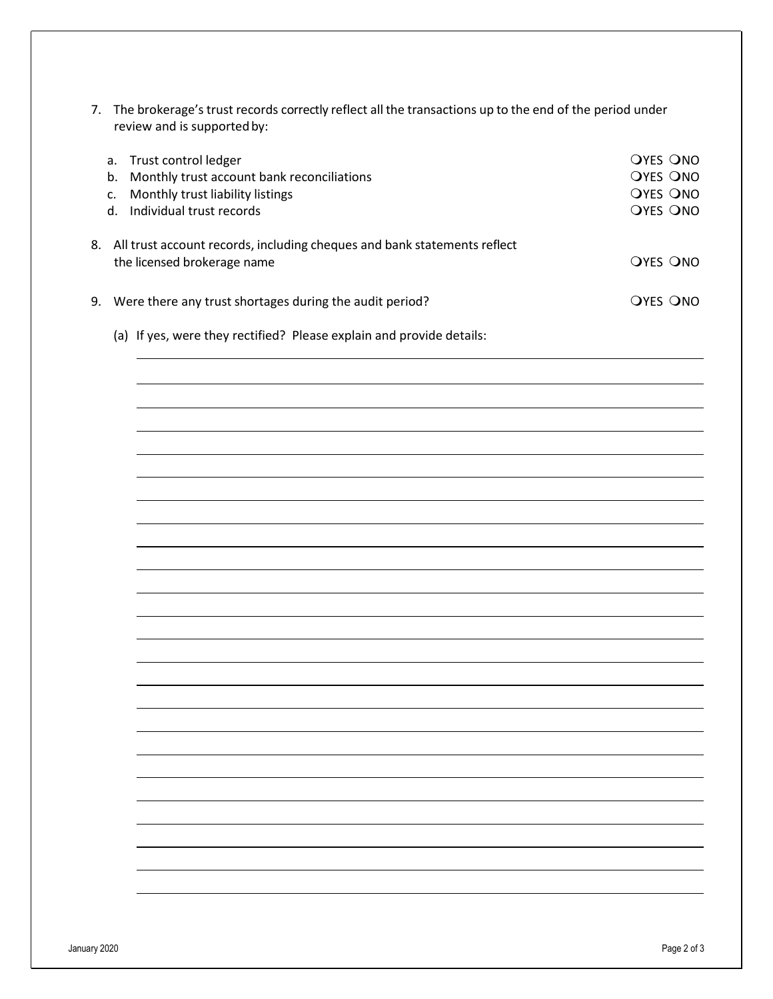| 7. The brokerage's trust records correctly reflect all the transactions up to the end of the period under |
|-----------------------------------------------------------------------------------------------------------|
| review and is supported by:                                                                               |

| Trust control ledger<br>а.<br>Monthly trust account bank reconciliations<br>b.<br>Monthly trust liability listings<br>c.<br>Individual trust records<br>d. |                                                                             | <b>OYES ONO</b><br><b>OYES ONO</b><br><b>OYES ONO</b><br><b>OYES ONO</b> |
|------------------------------------------------------------------------------------------------------------------------------------------------------------|-----------------------------------------------------------------------------|--------------------------------------------------------------------------|
| the licensed brokerage name                                                                                                                                | 8. All trust account records, including cheques and bank statements reflect | OYES ONO                                                                 |
| 9. Were there any trust shortages during the audit period?                                                                                                 |                                                                             | <b>OYES ONO</b>                                                          |

(a) If yes, were they rectified? Please explain and provide details:

 $\overline{\phantom{a}}$ 

 $\overline{a}$